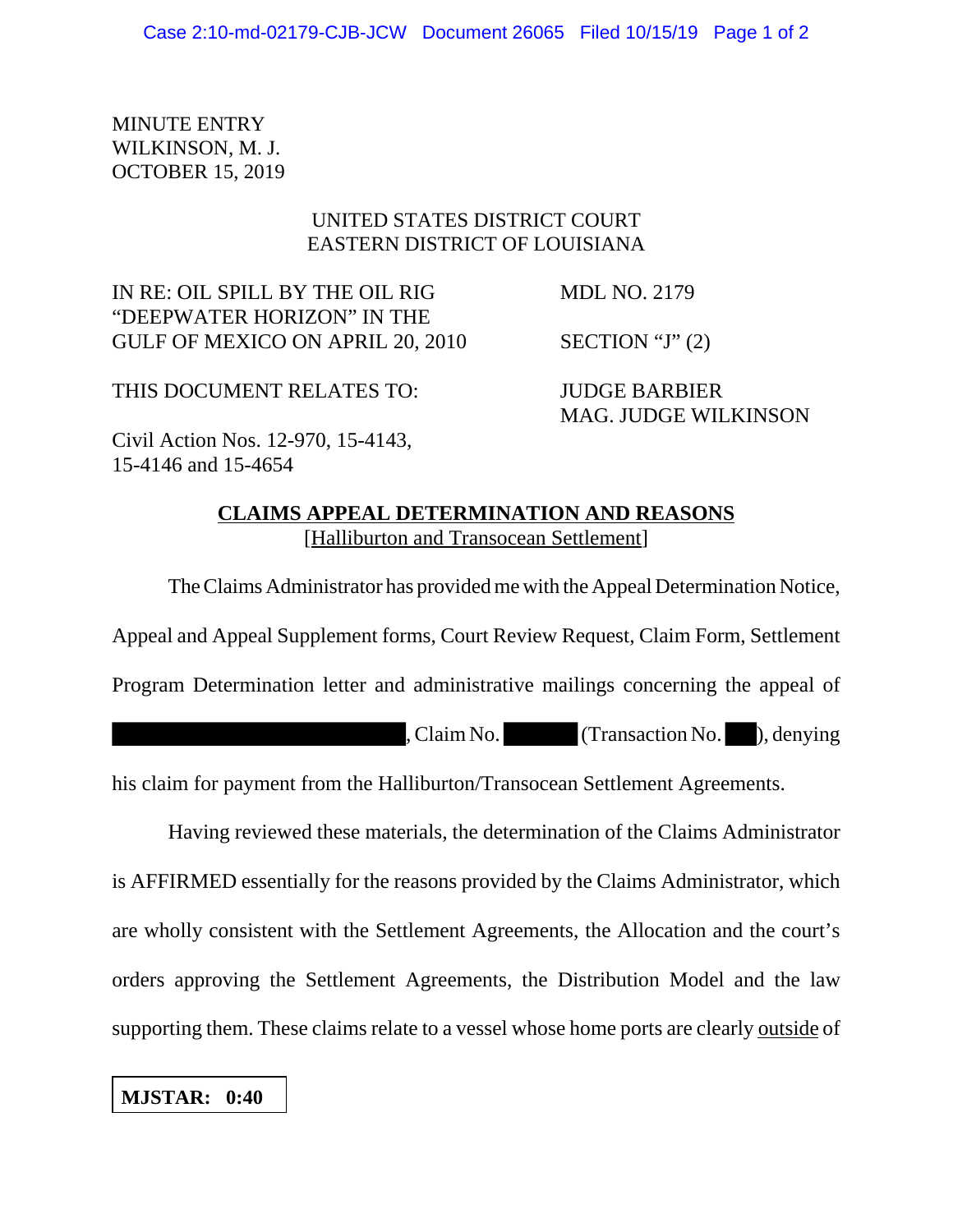MINUTE ENTRY WILKINSON, M. J. OCTOBER 15, 2019

## UNITED STATES DISTRICT COURT EASTERN DISTRICT OF LOUISIANA

IN RE: OIL SPILL BY THE OIL RIG MDL NO. 2179 "DEEPWATER HORIZON" IN THE GULF OF MEXICO ON APRIL 20, 2010 SECTION "J" (2)

THIS DOCUMENT RELATES TO: JUDGE BARBIER

MAG. JUDGE WILKINSON

Civil Action Nos. 12-970, 15-4143, 15-4146 and 15-4654

## **CLAIMS APPEAL DETERMINATION AND REASONS** [Halliburton and Transocean Settlement]

The Claims Administrator has provided me with the Appeal Determination Notice, Appeal and Appeal Supplement forms, Court Review Request, Claim Form, Settlement Program Determination letter and administrative mailings concerning the appeal of

, Claim No. (Transaction No. ), denying

his claim for payment from the Halliburton/Transocean Settlement Agreements.

Having reviewed these materials, the determination of the Claims Administrator is AFFIRMED essentially for the reasons provided by the Claims Administrator, which are wholly consistent with the Settlement Agreements, the Allocation and the court's orders approving the Settlement Agreements, the Distribution Model and the law supporting them. These claims relate to a vessel whose home ports are clearly outside of

## **MJSTAR: 0:40**